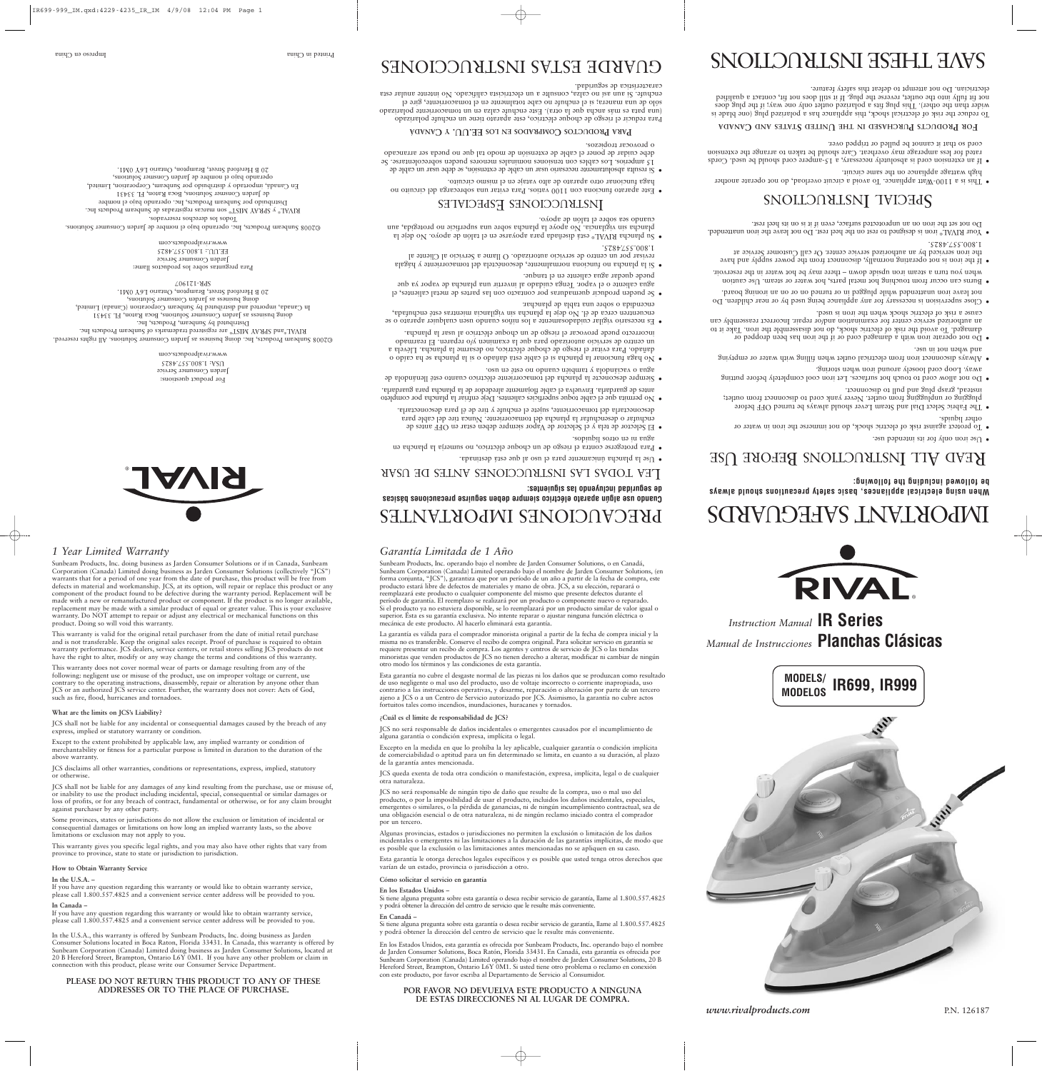

*Instruction Manual* **IR Series** *Manual de Instrucciones* **Planchas Clásicas**

período de garantía. El reemplazo se realizará por un producto o componente nuevo o reparado. Si el producto ya no estuviera disponible, se lo reemplazará por un producto similar de valor igual o superior. Ésta es su garantía exclusiva. No intente reparar o ajustar ninguna función eléctrica o

mecánica de este producto. Al hacerlo eliminará esta garantía.

La garantía es válida para el comprador minorista original a partir de la fecha de compra inicial y la misma no es transferible. Conserve el recibo de compra original. Para solicitar servicio en garantía se requiere presentar un recibo de compra. Los agentes y centros de servicio de JCS o las tiendas minoristas que venden productos de JCS no tienen derecho a alterar, modificar ni cambiar de ningún

otro modo los términos y las condiciones de esta garantía.

Esta garantía no cubre el desgaste normal de las piezas ni los daños que se produzcan como resultado de uso negligente o mal uso del producto, uso de voltaje incorrecto o corriente inapropiada, uso contrario a las instrucciones operativas, y desarme, reparación o alteración por parte de un tercero ajeno a JCS o a un Centro de Servicio autorizado por JCS. Asimismo, la garantía no cubre actos

fortuitos tales como incendios, inundaciones, huracanes y tornados.

**¿Cuál es el límite de responsabilidad de JCS?**

JCS no será responsable de daños incidentales o emergentes causados por el incumplimiento de

alguna garantía o condición expresa, implícita o legal.

Excepto en la medida en que lo prohíba la ley aplicable, cualquier garantía o condición implícita de comerciabilidad o aptitud para un fin determinado se limita, en cuanto a su duración, al plazo de la garantía antes mencionada.

JCS queda exenta de toda otra condición o manifestación, expresa, implícita, legal o de cualquier otra naturaleza.

made with a new or remanufactured product or component. If the product is no longer available, replacement may be made with a similar product of equal or greater value. This is your exclusive warranty. Do NOT attempt to repair or adjust any electrical or mechanical functions on this

*Garantía Limitada de 1 Año* Sunbeam Products, Inc. operando bajo el nombre de Jarden Consumer Solutions, o en Canadá, Sunbeam Corporation (Canada) Limited operando bajo el nombre de Jarden Consumer Solutions, (en forma conjunta, "JCS"), garantiza que por un período de un año a partir de la fecha de compra, este producto estará libre de defectos de materiales y mano de obra. JCS, a su elección, reparará o reemplazará este producto o cualquier componente del mismo que presente defectos durante el *1 Year Limited Warranty* Sunbeam Products, Inc. doing business as Jarden Consumer Solutions or if in Canada, Sunbeam Corporation (Canada) Limited doing business as Jarden Consumer Solutions (collectively "JCS") warrants that for a period of one year from the date of purchase, this product will be free from defects in material and workmanship. JCS, at its option, will repair or replace this product or any component of the product found to be defective during the warranty period. Replacement will be

JCS no será responsable de ningún tipo de daño que resulte de la compra, uso o mal uso del producto, o por la imposibilidad de usar el producto, incluidos los daños incidentales, especiales, emergentes o similares, o la pérdida de ganancias, ni de ningún incumplimiento contractual, sea de una obligación esencial o de otra naturaleza, ni de ningún reclamo iniciado contra el comprador por un tercero.

Algunas provincias, estados o jurisdicciones no permiten la exclusión o limitación de los daños incidentales o emergentes ni las limitaciones a la duración de las garantías implícitas, de modo que es posible que la exclusión o las limitaciones antes mencionadas no se apliquen en su caso.

Esta garantía le otorga derechos legales específicos y es posible que usted tenga otros derechos que varían de un estado, provincia o jurisdicción a otro.

#### **Cómo solicitar el servicio en garantía**

#### **En los Estados Unidos –**

Si tiene alguna pregunta sobre esta garantía o desea recibir servicio de garantía, llame al 1.800.557.4825 y podrá obtener la dirección del centro de servicio que le resulte más conveniente.

#### **En Canadá –**

Si tiene alguna pregunta sobre esta garantía o desea recibir servicio de garantía, llame al 1.800.557.4825 y podrá obtener la dirección del centro de servicio que le resulte más conveniente.

En los Estados Unidos, esta garantía es ofrecida por Sunbeam Products, Inc. operando bajo el nombre de Jarden Consumer Solutions, Boca Ratón, Florida 33431. En Canadá, esta garantía es ofrecida por Sunbeam Corporation (Canada) Limited operando bajo el nombre de Jarden Consumer Solutions, 20 B Hereford Street, Brampton, Ontario L6Y 0M1. Si usted tiene otro problema o reclamo en conexión con este producto, por favor escriba al Departamento de Servicio al Consumidor.

### **POR FAVOR NO DEVUELVA ESTE PRODUCTO A NINGUNA DE ESTAS DIRECCIONES NI AL LUGAR DE COMPRA.**



*www.rivalproducts.com* P.N. 126187

- Use iron only for its intended use.
- To protect against risk of electric shock, do not immerse the iron in water or other liquids.
- The Fabric Select Dial and Steam Lever should always be turned OFF before plugging or unplugging from outlet. Never yank cord to disconnect from outlet; instead, grasp plug and pull to disconnect.
- Do not allow cord to touch hot surfaces. Let iron cool completely before putting away. Loop cord loosely around iron when storing.
- Always disconnect iron from electrical outlet when filling with water or emptying and when not in use.
- Do not operate iron with <sup>a</sup> damaged cord or if the iron has been dropped or damaged. To avoid the risk of electric shock, do not disassemble the iron. Take it to an authorized service center for examination and/or repair. Incorrect reassembly can cause <sup>a</sup> risk of electric shock when the iron is used.
- Close supervision is necessary for any appliance being used by or near children. Do not leave iron unattended while plugged in or turned on or on an ironing board.
- Burns can occur from touching hot metal parts, hot water or steam. Use caution when you turn <sup>a</sup> steam iron upside down – there may be hot water in the reservoir.
- If the iron is not operating normally, disconnect from the power supply and have the iron serviced by an authorized service center. Or call Customer Service at 1.800.557.4825.
- $\bullet~$  Your RIVAL® iron is designed to rest on the heel rest. Do not leave the iron unattended. Do not set the iron on an unprotected surface, even if it is on its heel rest.

# SPECIAL INSTRUCTIONS

product. Doing so will void this warranty.

This warranty is valid for the original retail purchaser from the date of initial retail purchase and is not transferable. Keep the original sales receipt. Proof of purchase is required to obtain

warranty performance. JCS dealers, service centers, or retail stores selling JCS products do not have the right to alter, modify or any way change the terms and conditions of this warranty. This warranty does not cover normal wear of parts or damage resulting from any of the

following: negligent use or misuse of the product, use on improper voltage or current, use contrary to the operating instructions, disassembly, repair or alteration by anyone other than ICS or an authorized JCS service center. Further, the warranty does not cover: Acts of God, such as fire, flood, hurricanes and tornadoes.

#### **What are the limits on JCS's Liability?**

JCS shall not be liable for any incidental or consequential damages caused by the breach of any

express, implied or statutory warranty or condition.

Except to the extent prohibited by applicable law, any implied warranty or condition of

merchantability or fitness for a particular purpose is limited in duration to the duration of the above warranty.

JCS disclaims all other warranties, conditions or representations, express, implied, statutory or otherwise.

JCS shall not be liable for any damages of any kind resulting from the purchase, use or misuse of, or inability to use the product including incidental, special, consequential or similar damages or loss of profits, or for any breach of contract, fundamental or otherwise, or for any claim brought against purchaser by any other party.

Some provinces, states or jurisdictions do not allow the exclusion or limitation of incidental or consequential damages or limitations on how long an implied warranty lasts, so the above limitations or exclusion may not apply to you.

This warranty gives you specific legal rights, and you may also have other rights that vary from province to province, state to state or jurisdiction to jurisdiction.

#### **How to Obtain Warranty Service**

#### **In the U.S.A. –**

If you have any question regarding this warranty or would like to obtain warranty service, please call 1.800.557.4825 and a convenient service center address will be provided to you.

® **RIVAL** 

#### **In Canada –**

If you have any question regarding this warranty or would like to obtain warranty service, please call 1.800.557.4825 and a convenient service center address will be provided to you.

In the U.S.A., this warranty is offered by Sunbeam Products, Inc. doing business as Jarden Consumer Solutions located in Boca Raton, Florida 33431. In Canada, this warranty is offered by Sunbeam Corporation (Canada) Limited doing business as Jarden Consumer Solutions, located at 20 B Hereford Street, Brampton, Ontario L6Y 0M1. If you have any other problem or claim in connection with this product, please write our Consumer Service Department.

#### **PLEASE DO NOT RETURN THIS PRODUCT TO ANY OF THESE ADDRESSES OR TO THE PLACE OF PURCHASE.**

# IMPORTANT SAFEGUARDS

**When using electrical appliances, basic safety precautions should always be followed including the following:**

# KEAD ALL INSTRUCTIONS BEFORE USE

- This is <sup>a</sup> 1100-Watt appliance. To avoid <sup>a</sup> circuit overload, do not operate another high wattage appliance on the same circuit.
- If an extension cord is absolutely necessary, <sup>a</sup> 15-ampere cord should be used. Cords rated for less amperage may overheat. Care should be taken to arrange the extension

cord so that it cannot be pulled or tripped over.

**FOR PRODUCTS PURCHASED IN THE UNITED STATES AND CANADA** 

To reduce the risk of electrical shock, this appliance has <sup>a</sup> polarized plug (one blade is wider than the other). This plug fits a polarized outlet only one way; if the plug does not fit fully into the outlet, reverse the plug. If it still does not fit, contact <sup>a</sup> qualified electrician. Do not attempt to defeat this safety feature.

# SNOLLOONLSNI HSHHL HAVS

# PRECAUCIONES IMPORTANTES

**Cuando use algún aparato eléctrico siempre deben seguirse precauciones básicas de seguridad incluyendo las siguientes:**

### EA TODAS LAS INSTRUCCIONES ANTES DE USAR L

• Use la plancha únicamente para el uso al que está destinada.

• Para protegerse contra el riesgo de un choque eléctrico, no sumerja la plancha en agua ni en otros líquidos.

• El Selector de tela <sup>y</sup> el Selector de Vapor siempre deben estar en OFF antes de enchufar <sup>o</sup> desenchufar la plancha del tomacorriente. Nunca tire del cable para desconectarla del tomacorriente, sujete el enchufe <sup>y</sup> tire de él para desconectarla.

• No permita que el cable toque superficies calientes. Deje enfriar la plancha por completo antes de guardarla. Envuelva el cable flojamente alrededor de la plancha para guardarla.

• Siempre desconecte la plancha del tomacorriente eléctrico cuanto esté llenándola de agua <sup>o</sup> vaciándola <sup>y</sup> también cuando no esté en uso.

• No haga funcionar la plancha si el cable está dañado <sup>o</sup> si la plancha se ha caído <sup>o</sup> dañado. Para evitar el riesgo de choque eléctrico, no desarme la plancha. Llévela <sup>a</sup> un centro de servicio autorizado para que la examinen y/o reparen. El rearmado incorrecto puede provocar el riesgo de un choque eléctrico al usar la plancha.

• Es necesario vigilar cuidadosamente <sup>a</sup> los niños cuando usen cualquier aparato <sup>o</sup> se encuentren cerca de él. No deje la plancha sin vigilancia mientras esté enchufada, encendida <sup>o</sup> sobre una tabla de planchar.

• Se pueden producir quemaduras por contacto con las partes de metal calientes, el agua caliente <sup>o</sup> el vapor. Tenga cuidado al invertir una plancha de vapor ya que puede quedar agua caliente en el tanque.

• Si la plancha no funciona normalmente, desconéctela del tomacorriente <sup>y</sup> hágala revisar por un centro de servicio autorizado. O llame <sup>a</sup> Servicio al Cliente al 1.800.557.4825.

• Su plancha RIVAL® está diseñada para apoyarse en el talón de apoyo. No deje la plancha sin vigilancia. No apoye la plancha sobre una superficie no protegida, aun cuando sea sobre el talón de apoyo.

### INSTRUCCIONES ESPECIALES

• Este aparato funciona con 1100 vatios. Para evitar una sobrecarga del circuito no haga funcionar otro aparato de alto vataje en el mismo circuito.

• Si resulta absolutamente necesario usar un cable de extensión, se debe usar un cable de 15 amperios. Los cables con tensiones nominales menores pueden sobrecolentarse. Se debe cuidar de poner el cable de extensión de modo tal que no pueda ser arrancado <sup>o</sup> provocar tropiezos.

### **PARA PRODUCTOS COMPRADOS** EN LOS EE.UU. Y CANADÁ

ara reducir el riesgo de choque eléctrico, este aparato tiene un enchufe polarizado P (una pata es más ancha que la otra). Este enchufe calza en un tomacorriente polarizado sólo de una manera; si el enchufe no cabe totalmente en el tomacorriente, gire el enchufe. Si aun así no calza, consulte <sup>a</sup> un electricista calificado. No intente anular esta característica de seguridad.

# GUARDE ESTAS INSTRUCCIONES

For product questions: Jarden Consumer Service USA: 1.800.557.4825 www.rivalproducts.com ©2008 Sunbeam Products, Inc. doing business as Jarden Consumer Solutions. All rights reserved. RIVAL®and SPRAY MIST® are registered trademarks of Sunbeam Products Inc. Distributed by Sunbeam, Products, Inc.

doing business as Jarden Consumer Solutions, Boca Raton, FL 33431 In Canada, imported and distributed by Sunbeam Corporation (Canada) Limited, doing business as Jarden Consumer Solutions, 20 B Hereford Street, Brampton, Ontario L6Y 0M1. SPR-121907

Para preguntas sobre los productos llame: Jarden Consumer Service EE.UU.: 1.800.557.4825 www.rivalproducts.com

©2008 Sunbeam Products, Inc. operando bajo el nombre de Jarden Consumer Solutions. Todos los derechos reservados. RIVAL® y SPRAY MIST® son marcas registradas de Sunbeam Products Inc. Distribuido por Sunbeam Products, Inc. operando bajo el nombre de Jarden Consmer Solutions, Boca Raton, FL 33431 En Canadá, importado <sup>y</sup> distribuido por Sunbeam, Corporation, Limited, operando bajo el nombre de Jarden Consmer Solutions, 20 B Hereford Street, Brampton, Ontario L6Y 0M1.

Impreso en China Printed in China

**MODELS/ IR699, IR999 MODELOS**